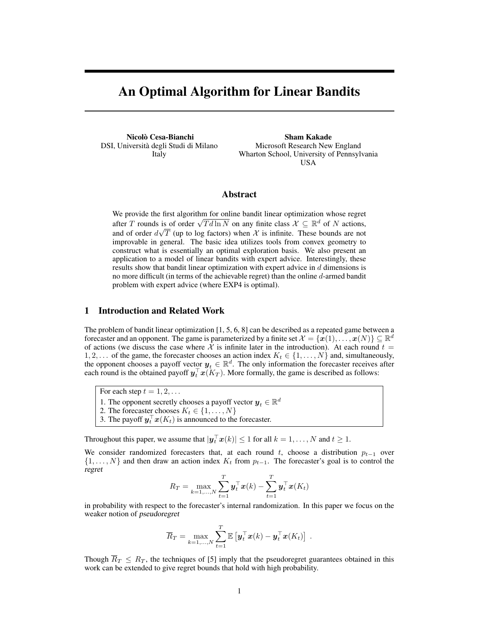# An Optimal Algorithm for Linear Bandits

Nicolò Cesa-Bianchi DSI, Universita degli Studi di Milano ` Italy

Sham Kakade Microsoft Research New England Wharton School, University of Pennsylvania USA

## Abstract

We provide the first algorithm for online bandit linear optimization whose regret we provide the first algorithm for online bandit linear optimization whose regret after T rounds is of order  $\sqrt{Td \ln N}$  on any finite class  $\mathcal{X} \subseteq \mathbb{R}^d$  of N actions, and of order  $d\sqrt{T}$  (up to log factors) when X is infinite. These bounds are not improvable in general. The basic idea utilizes tools from convex geometry to construct what is essentially an optimal exploration basis. We also present an application to a model of linear bandits with expert advice. Interestingly, these results show that bandit linear optimization with expert advice in d dimensions is no more difficult (in terms of the achievable regret) than the online d-armed bandit problem with expert advice (where EXP4 is optimal).

# 1 Introduction and Related Work

The problem of bandit linear optimization [1, 5, 6, 8] can be described as a repeated game between a forecaster and an opponent. The game is parameterized by a finite set  $\mathcal{X} = \{x(1), \ldots, x(N)\} \subseteq \mathbb{R}^d$ of actions (we discuss the case where  $\mathcal X$  is infinite later in the introduction). At each round  $t =$ 1, 2,... of the game, the forecaster chooses an action index  $K_t \in \{1, \ldots, N\}$  and, simultaneously, the opponent chooses a payoff vector  $y_t \in \mathbb{R}^d$ . The only information the forecaster receives after each round is the obtained payoff  $y_t^{\top} x(K_T)$ . More formally, the game is described as follows:

For each step  $t = 1, 2, \ldots$ 

1. The opponent secretly chooses a payoff vector  $y_t \in \mathbb{R}^d$ 

2. The forecaster chooses  $K_t \in \{1, \ldots, N\}$ 

3. The payoff  $\mathbf{y}_t^{\top} \mathbf{x}(K_t)$  is announced to the forecaster.

Throughout this paper, we assume that  $|\boldsymbol{y}_t^\top \boldsymbol{x}(k)| \leq 1$  for all  $k = 1, \ldots, N$  and  $t \geq 1$ .

We consider randomized forecasters that, at each round t, choose a distribution  $p_{t-1}$  over  $\{1, \ldots, N\}$  and then draw an action index  $K_t$  from  $p_{t-1}$ . The forecaster's goal is to control the regret

$$
R_T = \max_{k=1,\ldots,N} \sum_{t=1}^T \boldsymbol{y}_t^\top \boldsymbol{x}(k) - \sum_{t=1}^T \boldsymbol{y}_t^\top \boldsymbol{x}(K_t)
$$

in probability with respect to the forecaster's internal randomization. In this paper we focus on the weaker notion of pseudoregret

$$
\overline{R}_T = \max_{k=1,\ldots,N} \sum_{t=1}^T \mathbb{E} \left[ \boldsymbol{y}_t^\top \boldsymbol{x}(k) - \boldsymbol{y}_t^\top \boldsymbol{x}(K_t) \right] .
$$

Though  $\overline{R}_T \leq R_T$ , the techniques of [5] imply that the pseudoregret guarantees obtained in this work can be extended to give regret bounds that hold with high probability.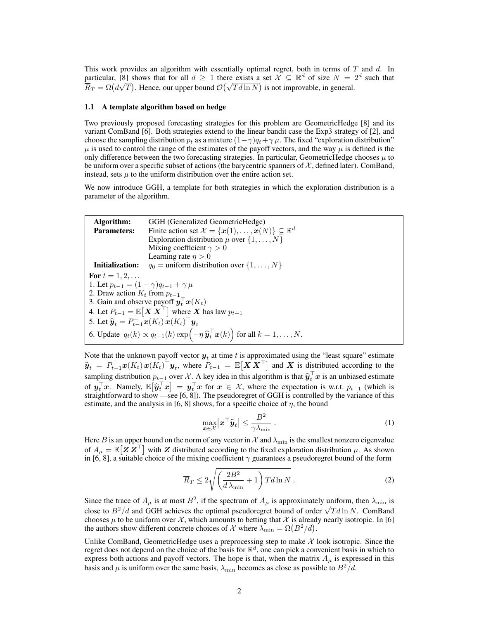This work provides an algorithm with essentially optimal regret, both in terms of  $T$  and  $d$ . In particular, [8] shows that for all  $d \geq 1$  there exists a set  $\mathcal{X} \subseteq \mathbb{R}^d$  of size  $N = 2^d$  such that particular, [8] shows that for all  $a \ge 1$  there exists a set  $A \subseteq \mathbb{R}^2$  of size  $N = 1$ <br> $\overline{R}_T = \Omega(d\sqrt{T})$ . Hence, our upper bound  $\mathcal{O}(\sqrt{Td\ln N})$  is not improvable, in general.

#### 1.1 A template algorithm based on hedge

Two previously proposed forecasting strategies for this problem are GeometricHedge [8] and its variant ComBand [6]. Both strategies extend to the linear bandit case the Exp3 strategy of [2], and choose the sampling distribution  $p_t$  as a mixture  $(1-\gamma)q_t+\gamma\mu$ . The fixed "exploration distribution"  $\mu$  is used to control the range of the estimates of the payoff vectors, and the way  $\mu$  is defined is the only difference between the two forecasting strategies. In particular, GeometricHedge chooses  $\mu$  to be uniform over a specific subset of actions (the barycentric spanners of  $\mathcal{X}$ , defined later). ComBand, instead, sets  $\mu$  to the uniform distribution over the entire action set.

We now introduce GGH, a template for both strategies in which the exploration distribution is a parameter of the algorithm.

Algorithm: GGH (Generalized GeometricHedge) **Parameters:** Finite action set  $\mathcal{X} = {\boldsymbol{x}(1), \ldots, \boldsymbol{x}(N)} \subseteq \mathbb{R}^d$ Exploration distribution  $\mu$  over  $\{1, \ldots, N\}$ Mixing coefficient  $\gamma > 0$ Learning rate  $\eta > 0$ **Initialization:**  $q_0 =$  uniform distribution over  $\{1, \ldots, N\}$ For  $t = 1, 2, ...$ 1. Let  $p_{t-1} = (1 - \gamma)q_{t-1} + \gamma \mu$ 2. Draw action  $K_t$  from  $p_{t-1}$ 3. Gain and observe payoff  $\mathbf{y}_t^\top \mathbf{x}(K_t)$ 4. Let  $P_{t-1} = \mathbb{E}[ \boldsymbol{X} \, \boldsymbol{X}^\top ]$  where  $\boldsymbol{X}$  has law  $p_{t-1}$ 5. Let  $\hat{\mathbf{y}}_t = P_{t-1}^+ \mathbf{x}(K_t) \mathbf{x}(K_t)^\top \mathbf{y}_t$ 6. Update  $q_t(k) \propto q_{t-1}(k) \exp\left(-\eta \widehat{\mathbf{y}}_t^\top \mathbf{x}(k)\right)$  for all  $k = 1, \ldots, N$ .

Note that the unknown payoff vector  $y_t$  at time t is approximated using the "least square" estimate  $\hat{\mathbf{y}}_t = P_{t-1}^{\perp} \mathbf{x}(K_t) \mathbf{x}(K_t)^\top \mathbf{y}_t$ , where  $P_{t-1} = \mathbb{E}[\mathbf{X} \mathbf{X}^\top]$  and X is distributed according to the sampling distribution  $p_{t-1}$  over X. A key idea in this algorithm is that  $\hat{y}_t^\top x$  is an unbiased estimate of  $y_t^{\top}x$ . Namely,  $\mathbb{E}[\hat{y}_t^{\top}x] = y_t^{\top}x$  for  $x \in \mathcal{X}$ , where the expectation is w.r.t.  $p_{t-1}$  (which is straightforward to show  $\frac{1}{x}$  = 9.6 81). The pseudoregret of GGH is controlled by the variance of straightforward to show —see [6, 8]). The pseudoregret of GGH is controlled by the variance of this estimate, and the analysis in [6, 8] shows, for a specific choice of  $\eta$ , the bound

$$
\max_{\boldsymbol{x} \in \mathcal{X}} \left| \boldsymbol{x}^{\top} \widehat{\boldsymbol{y}}_{t} \right| \leq \frac{B^2}{\gamma \lambda_{\min}} \,. \tag{1}
$$

Here B is an upper bound on the norm of any vector in X and  $\lambda_{\min}$  is the smallest nonzero eigenvalue of  $A_\mu = \mathbb{E}[Z Z^\top]$  with Z distributed according to the fixed exploration distribution  $\mu$ . As shown in [6, 8], a suitable choice of the mixing coefficient  $\gamma$  guarantees a pseudoregret bound of the form

$$
\overline{R}_T \le 2\sqrt{\left(\frac{2B^2}{d\lambda_{\min}} + 1\right)Td\ln N}.
$$
\n(2)

Since the trace of  $A_\mu$  is at most  $B^2$ , if the spectrum of  $A_\mu$  is approximately uniform, then  $\lambda_{\min}$  is Since the trace of  $A_{\mu}$  is at most  $D$ , if the spectrum of  $A_{\mu}$  is approximately difficulties  $\lambda_{\min}$  is close to  $B^2/d$  and GGH achieves the optimal pseudoregret bound of order  $\sqrt{Td\ln N}$ . ComBand chooses  $\mu$  to be uniform over X, which amounts to betting that X is already nearly isotropic. In [6] the authors show different concrete choices of X where  $\lambda_{\min} = \Omega(B^2/d)$ .

Unlike ComBand, GeometricHedge uses a preprocessing step to make  $\mathcal X$  look isotropic. Since the regret does not depend on the choice of the basis for  $\mathbb{R}^d$ , one can pick a convenient basis in which to express both actions and payoff vectors. The hope is that, when the matrix  $A_{\mu}$  is expressed in this basis and  $\mu$  is uniform over the same basis,  $\lambda_{\min}$  becomes as close as possible to  $B^2/d$ .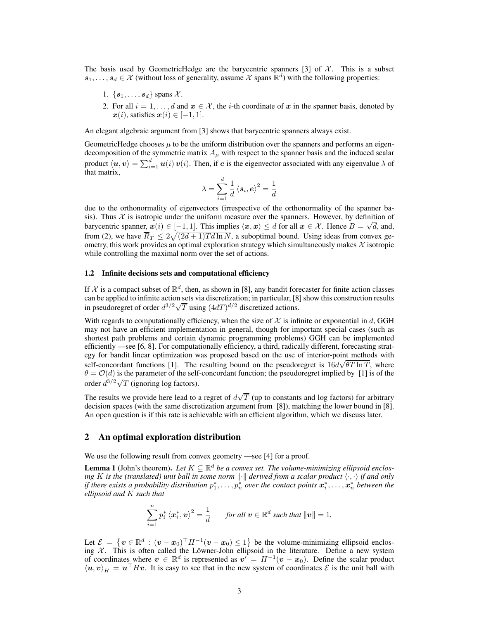The basis used by GeometricHedge are the barycentric spanners [3] of  $\mathcal{X}$ . This is a subset  $s_1, \ldots, s_d \in \mathcal{X}$  (without loss of generality, assume  $\mathcal{X}$  spans  $\mathbb{R}^d$ ) with the following properties:

- 1.  $\{s_1, \ldots, s_d\}$  spans X.
- 2. For all  $i = 1, \ldots, d$  and  $x \in \mathcal{X}$ , the *i*-th coordinate of x in the spanner basis, denoted by  $\mathbf{x}(i)$ , satisfies  $\mathbf{x}(i) \in [-1, 1]$ .

An elegant algebraic argument from [3] shows that barycentric spanners always exist.

GeometricHedge chooses  $\mu$  to be the uniform distribution over the spanners and performs an eigendecomposition of the symmetric matrix  $A_{\mu}$  with respect to the spanner basis and the induced scalar product  $\langle u, v \rangle = \sum_{i=1}^d u(i) v(i)$ . Then, if e is the eigenvector associated with any eigenvalue  $\lambda$  of that matrix,

$$
\lambda = \sum_{i=1}^d \frac{1}{d} \left\langle s_i, e \right\rangle^2 = \frac{1}{d}
$$

due to the orthonormality of eigenvectors (irrespective of the orthonormality of the spanner basis). Thus  $\mathcal X$  is isotropic under the uniform measure over the spanners. However, by definition of barycentric spanner,  $x(i) \in [-1, 1]$ . This implies  $\langle x, x \rangle \le d$  for all  $x \in \mathcal{X}$ . Hence  $B = \sqrt{d}$ , and, from (2), we have  $\overline{R}_T \leq 2\sqrt{(2d+1)Td\ln N}$ , a suboptimal bound. Using ideas from convex geometry, this work provides an optimal exploration strategy which simultaneously makes  $\mathcal X$  isotropic while controlling the maximal norm over the set of actions.

### 1.2 Infinite decisions sets and computational efficiency

If X is a compact subset of  $\mathbb{R}^d$ , then, as shown in [8], any bandit forecaster for finite action classes can be applied to infinite action sets via discretization; in particular, [8] show this construction results in pseudoregret of order  $d^{3/2}\sqrt{T}$  using  $(4dT)^{d/2}$  discretized actions.

With regards to computationally efficiency, when the size of  $X$  is infinite or exponential in d, GGH may not have an efficient implementation in general, though for important special cases (such as shortest path problems and certain dynamic programming problems) GGH can be implemented efficiently —see [6, 8]. For computationally efficiency, a third, radically different, forecasting strategy for bandit linear optimization was proposed based on the use of interior-point methods with self-concordant functions [1]. The resulting bound on the pseudoregret is  $16d\sqrt{\theta T} \ln T$ , where  $\theta = O(d)$  is the parameter of the self-concordant function; the pseudoregret implied by [1] is of the order  $d^{3/2}\sqrt{T}$  (ignoring log factors).

The results we provide here lead to a regret of  $d$ √  $T$  (up to constants and log factors) for arbitrary decision spaces (with the same discretization argument from [8]), matching the lower bound in [8]. An open question is if this rate is achievable with an efficient algorithm, which we discuss later.

## 2 An optimal exploration distribution

We use the following result from convex geometry —see [4] for a proof.

**Lemma 1** (John's theorem). Let  $K \subseteq \mathbb{R}^d$  be a convex set. The volume-minimizing ellipsoid enclos*ing* K *is the (translated) unit ball in some norm*  $\|\cdot\|$  *derived from a scalar product*  $\langle \cdot, \cdot \rangle$  *if and only* if there exists a probability distribution  $p_1^*,\ldots,p_n^*$  over the contact points  $\bm x_i^*,\ldots,\bm x_n^*$  between the *ellipsoid and* K *such that*

$$
\sum_{i=1}^n p_i^* \left\langle x_i^*, \mathbf{v} \right\rangle^2 = \frac{1}{d} \quad \text{for all } \mathbf{v} \in \mathbb{R}^d \text{ such that } \|\mathbf{v}\| = 1.
$$

Let  $\mathcal{E} = \{ v \in \mathbb{R}^d : (v - x_0)^\top H^{-1}(v - x_0) \leq 1 \}$  be the volume-minimizing ellipsoid enclosing  $\mathcal X$ . This is often called the Löwner-John ellipsoid in the literature. Define a new system of coordinates where  $v \in \mathbb{R}^d$  is represented as  $v' = H^{-1}(v - x_0)$ . Define the scalar product  $\langle u, v \rangle_H = u^\top H v$ . It is easy to see that in the new system of coordinates  $\mathcal E$  is the unit ball with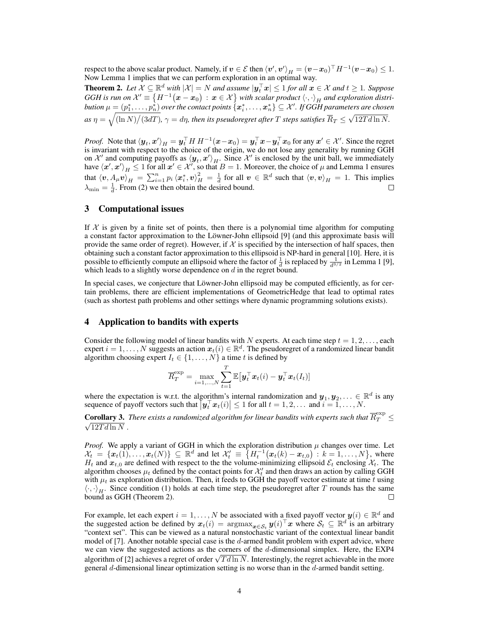respect to the above scalar product. Namely, if  $\bm{v}\in\mathcal{E}$  then  $\langle\bm{v}',\bm{v}'\rangle_H=(\bm{v}-\bm{x}_0)^\top H^{-1}(\bm{v}-\bm{x}_0)\leq 1.$ Now Lemma 1 implies that we can perform exploration in an optimal way.

**Theorem 2.** Let  $X \subseteq \mathbb{R}^d$  with  $|X| = N$  and assume  $|\mathbf{y}_t^{\top} \mathbf{x}| \leq 1$  for all  $\mathbf{x} \in \mathcal{X}$  and  $t \geq 1$ . Suppose GGH is run on  $\mathcal{X}'\equiv\big\{H^{-1}\big(\bm{x}-\bm{x}_0\big)\,:\,\bm{x}\in\mathcal{X}\big\}$  with scalar product  $\left\langle\cdot,\cdot\right\rangle_H$  and exploration distri- ${\it button}$   $\mu=(p_1^*,\ldots,p_n^*)$  over the contact points  $\{ \bm x_i^*,\ldots,\bm x_n^* \}\subseteq \mathcal{X}'$  . If  $GGH$  parameters are chosen as  $\eta=\sqrt{(\ln N)/(3dT)}$ ,  $\gamma=d\eta$ , then its pseudoregret after  $T$  steps satisfies  $\overline{R}_T\leq$ √  $12Td\ln N$ .

*Proof.* Note that  $\langle y_t, x' \rangle_H = y_t^\top H \, H^{-1} (x - x_0) = y_t^\top x - y_t^\top x_0$  for any  $x' \in \mathcal{X}'$ . Since the regret is invariant with respect to the choice of the origin, we do not lose any generality by running GGH on X' and computing payoffs as  $\langle y_t, x' \rangle_H$ . Since X' is enclosed by the unit ball, we immediately have  $\langle x', x' \rangle_H \le 1$  for all  $x' \in \mathcal{X}'$ , so that  $B = 1$ . Moreover, the choice of  $\mu$  and Lemma 1 ensures that  $\langle v, A_\mu v\rangle_H = \sum_{i=1}^n p_i \langle x_i^*, v\rangle_H^2 = \frac{1}{d}$  for all  $v \in \mathbb{R}^d$  such that  $\langle v, v\rangle_H = 1$ . This implies  $\lambda_{\min} = \frac{1}{d}$ . From (2) we then obtain the desired bound.

# 3 Computational issues

If  $X$  is given by a finite set of points, then there is a polynomial time algorithm for computing a constant factor approximation to the Löwner-John ellipsoid [9] (and this approximate basis will provide the same order of regret). However, if  $X$  is specified by the intersection of half spaces, then obtaining such a constant factor approximation to this ellipsoid is NP-hard in general [10]. Here, it is possible to efficiently compute an ellipsoid where the factor of  $\frac{1}{d}$  is replaced by  $\frac{1}{d^{3/2}}$  in Lemma 1 [9], which leads to a slightly worse dependence on  $d$  in the regret bound.

In special cases, we conjecture that Löwner-John ellipsoid may be computed efficiently, as for certain problems, there are efficient implementations of GeometricHedge that lead to optimal rates (such as shortest path problems and other settings where dynamic programming solutions exists).

# 4 Application to bandits with experts

Consider the following model of linear bandits with N experts. At each time step  $t = 1, 2, \ldots$ , each expert  $i = 1, ..., N$  suggests an action  $x_i(i) \in \mathbb{R}^d$ . The pseudoregret of a randomized linear bandit algorithm choosing expert  $I_t \in \{1, \ldots, N\}$  a time t is defined by

$$
\overline{R}^{\mathrm{exp}}_{T} = \max_{i=1,...,N}\sum_{t=1}^{T}\mathbb{E}\big[\boldsymbol{y}_t^{\top}\boldsymbol{x}_t(i) - \boldsymbol{y}_t^{\top}\boldsymbol{x}_t(I_t) \big]
$$

where the expectation is w.r.t. the algorithm's internal randomization and  $y_1, y_2, \ldots \in \mathbb{R}^d$  is any sequence of payoff vectors such that  $|\mathbf{y}_t^{\top} \mathbf{x}_t(i)| \leq 1$  for all  $t = 1, 2, \dots$  and  $i = 1, \dots, N$ .

**Corollary 3.** There exists a randomized algorithm for linear bandits with experts such that  $\overline{R}_T^{\exp} \leq$  $\sqrt{12T d \ln N}$ .

*Proof.* We apply a variant of GGH in which the exploration distribution  $\mu$  changes over time. Let  $\mathcal{X}_t = \{ \boldsymbol{x}_t(1), \dots, \boldsymbol{x}_t(N) \} \subseteq \mathbb{R}^d$  and let  $\mathcal{X}_t' = \{ H_t^{-1}(\boldsymbol{x}_t(k) - \boldsymbol{x}_{t,0}) : k = 1, \dots, N \}$ , where  $H_t$  and  $x_{t,0}$  are defined with respect to the the volume-minimizing ellipsoid  $\mathcal{E}_t$  enclosing  $\mathcal{X}_t$ . The algorithm chooses  $\mu_t$  defined by the contact points for  $\mathcal{X}'_t$  and then draws an action by calling GGH with  $\mu_t$  as exploration distribution. Then, it feeds to GGH the payoff vector estimate at time t using  $\langle \cdot, \cdot \rangle_H$ . Since condition (1) holds at each time step, the pseudoregret after T rounds has the same bound as GGH (Theorem 2). bound as GGH (Theorem 2).

For example, let each expert  $i = 1, ..., N$  be associated with a fixed payoff vector  $y(i) \in \mathbb{R}^d$  and the suggested action be defined by  $x_t(i) = \operatorname{argmax}_{x \in S_t} y(i)^\top x$  where  $S_t \subseteq \mathbb{R}^d$  is an arbitrary "context set". This can be viewed as a natural nonstochastic variant of the contextual linear bandit model of [7]. Another notable special case is the d-armed bandit problem with expert advice, where we can view the suggested actions as the corners of the d-dimensional simplex. Here, the EXP4 we can view the suggested actions as the corners of the a-dimensional simplex. Here, the EXP4 algorithm of [2] achieves a regret of order  $\sqrt{Td\ln N}$ . Interestingly, the regret achievable in the more general  $d$ -dimensional linear optimization setting is no worse than in the  $d$ -armed bandit setting.